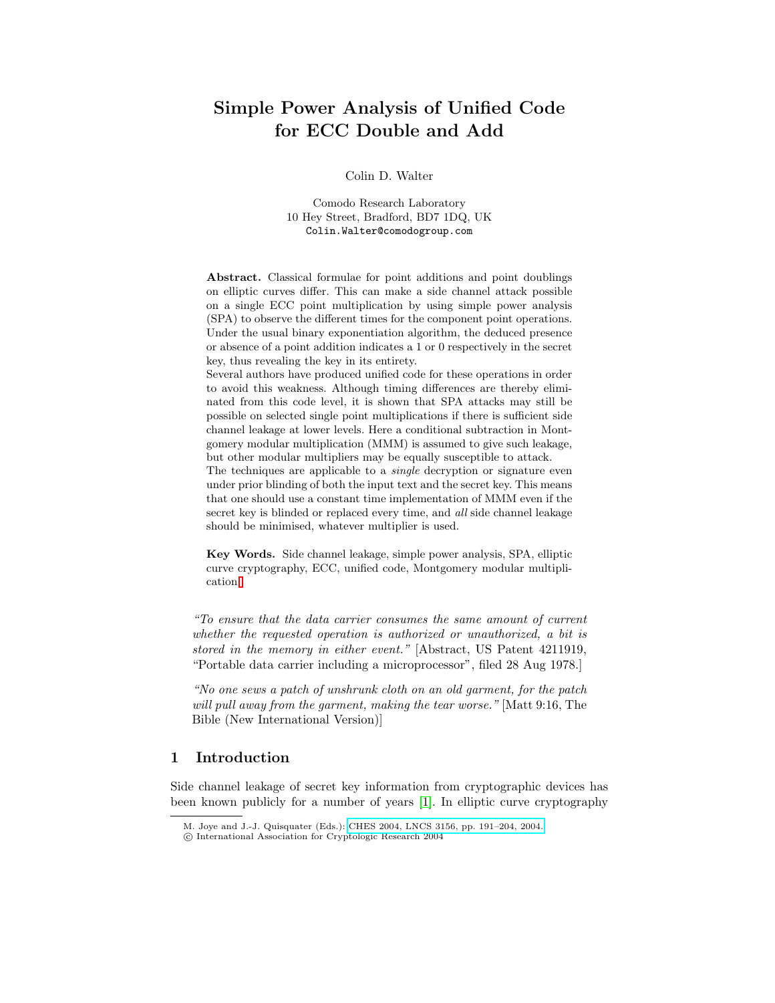# Simple Power Analysis of Unified Code for ECC Double and Add

Colin D. Walter

Comodo Research Laboratory 10 Hey Street, Bradford, BD7 1DQ, UK Colin.Walter@comodogroup.com

Abstract. Classical formulae for point additions and point doublings on elliptic curves differ. This can make a side channel attack possible on a single ECC point multiplication by using simple power analysis (SPA) to observe the different times for the component point operations. Under the usual binary exponentiation algorithm, the deduced presence or absence of a point addition indicates a 1 or 0 respectively in the secret key, thus revealing the key in its entirety.

Several authors have produced unified code for these operations in order to avoid this weakness. Although timing differences are thereby eliminated from this code level, it is shown that SPA attacks may still be possible on selected single point multiplications if there is sufficient side channel leakage at lower levels. Here a conditional subtraction in Montgomery modular multiplication (MMM) is assumed to give such leakage, but other modular multipliers may be equally susceptible to attack.

The techniques are applicable to a *single* decryption or signature even under prior blinding of both the input text and the secret key. This means that one should use a constant time implementation of MMM even if the secret key is blinded or replaced every time, and all side channel leakage should be minimised, whatever multiplier is used.

Key Words. Side channel leakage, simple power analysis, SPA, elliptic curve cryptography, ECC, unified code, Montgomery modular multiplication[.](#page-0-0)

"To ensure that the data carrier consumes the same amount of current whether the requested operation is authorized or unauthorized, a bit is stored in the memory in either event." [Abstract, US Patent 4211919, "Portable data carrier including a microprocessor", filed 28 Aug 1978.]

"No one sews a patch of unshrunk cloth on an old garment, for the patch will pull away from the garment, making the tear worse." [Matt 9:16, The Bible (New International Version)]

### 1 Introduction

Side channel leakage of secret key information from cryptographic devices has been known publicly for a number of years [\[1\]](#page-12-0). In elliptic curve cryptography

<span id="page-0-0"></span>M. Joye and J.-J. Quisquater (Eds.): [CHES 2004, LNCS 3156, pp. 191–204, 2004.](http://www.springerlink.com/index/HTLTLLEE881CBYD9.pdf)

c International Association for Cryptologic Research 2004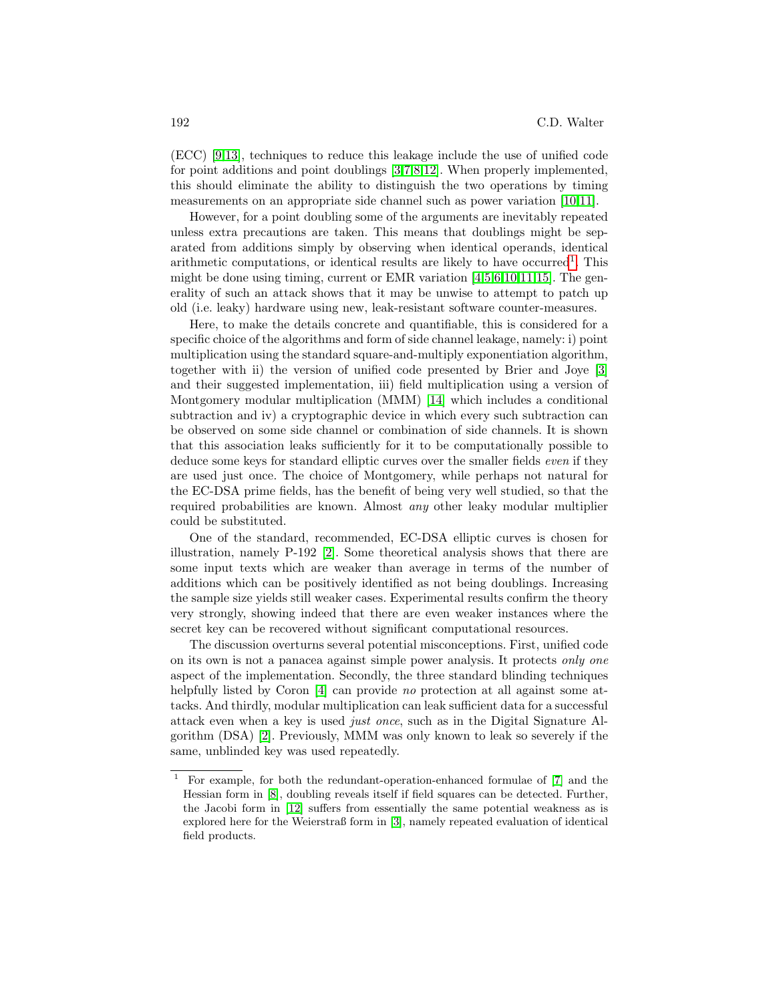(ECC) [\[9](#page-13-0)[,13\]](#page-13-1), techniques to reduce this leakage include the use of unified code for point additions and point doublings [\[3,](#page-12-1)[7,](#page-13-2)[8,](#page-13-3)[12\]](#page-13-4). When properly implemented, this should eliminate the ability to distinguish the two operations by timing measurements on an appropriate side channel such as power variation [\[10,](#page-13-5)[11\]](#page-13-6).

However, for a point doubling some of the arguments are inevitably repeated unless extra precautions are taken. This means that doublings might be separated from additions simply by observing when identical operands, identical arithmetic computations, or identical results are likely to have occurred<sup>[1](#page-1-0)</sup>. This might be done using timing, current or EMR variation [\[4,](#page-12-2)[5,](#page-13-7)[6,](#page-13-8)[10](#page-13-5)[,11,](#page-13-6)[15\]](#page-13-9). The generality of such an attack shows that it may be unwise to attempt to patch up old (i.e. leaky) hardware using new, leak-resistant software counter-measures.

Here, to make the details concrete and quantifiable, this is considered for a specific choice of the algorithms and form of side channel leakage, namely: i) point multiplication using the standard square-and-multiply exponentiation algorithm, together with ii) the version of unified code presented by Brier and Joye [\[3\]](#page-12-1) and their suggested implementation, iii) field multiplication using a version of Montgomery modular multiplication (MMM) [\[14\]](#page-13-10) which includes a conditional subtraction and iv) a cryptographic device in which every such subtraction can be observed on some side channel or combination of side channels. It is shown that this association leaks sufficiently for it to be computationally possible to deduce some keys for standard elliptic curves over the smaller fields even if they are used just once. The choice of Montgomery, while perhaps not natural for the EC-DSA prime fields, has the benefit of being very well studied, so that the required probabilities are known. Almost any other leaky modular multiplier could be substituted.

One of the standard, recommended, EC-DSA elliptic curves is chosen for illustration, namely P-192 [\[2\]](#page-12-3). Some theoretical analysis shows that there are some input texts which are weaker than average in terms of the number of additions which can be positively identified as not being doublings. Increasing the sample size yields still weaker cases. Experimental results confirm the theory very strongly, showing indeed that there are even weaker instances where the secret key can be recovered without significant computational resources.

The discussion overturns several potential misconceptions. First, unified code on its own is not a panacea against simple power analysis. It protects only one aspect of the implementation. Secondly, the three standard blinding techniques helpfully listed by Coron [\[4\]](#page-12-2) can provide no protection at all against some attacks. And thirdly, modular multiplication can leak sufficient data for a successful attack even when a key is used just once, such as in the Digital Signature Algorithm (DSA) [\[2\]](#page-12-3). Previously, MMM was only known to leak so severely if the same, unblinded key was used repeatedly.

<span id="page-1-0"></span><sup>&</sup>lt;sup>1</sup> For example, for both the redundant-operation-enhanced formulae of  $[7]$  and the Hessian form in [\[8\]](#page-13-3), doubling reveals itself if field squares can be detected. Further, the Jacobi form in [\[12\]](#page-13-4) suffers from essentially the same potential weakness as is explored here for the Weierstraß form in [\[3\]](#page-12-1), namely repeated evaluation of identical field products.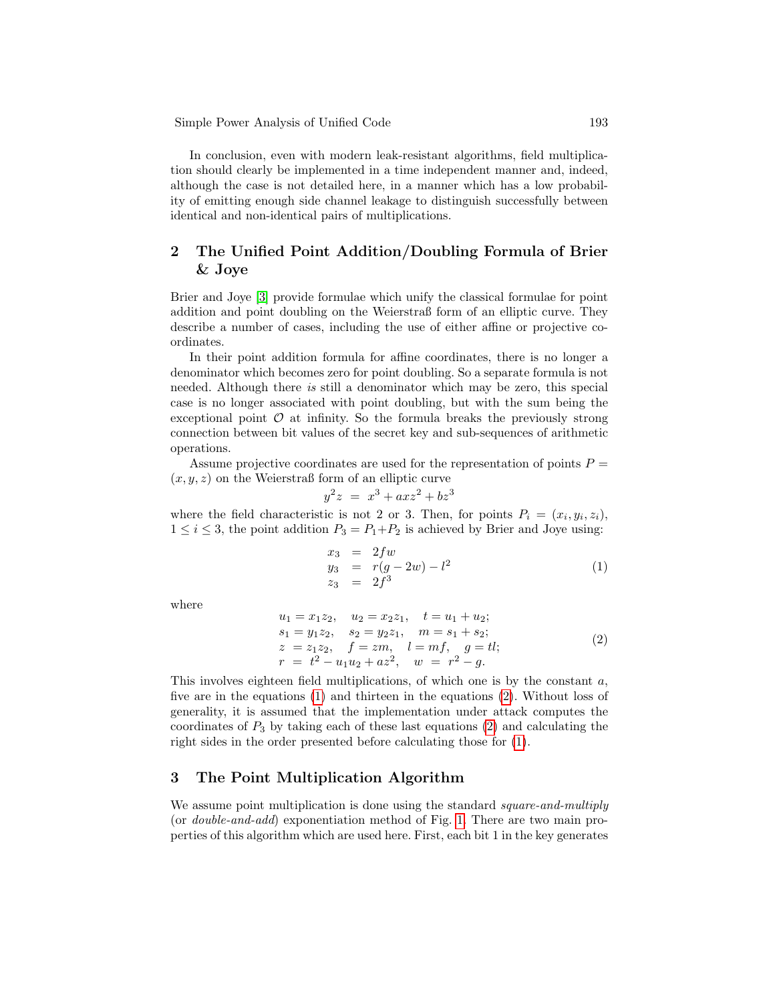In conclusion, even with modern leak-resistant algorithms, field multiplication should clearly be implemented in a time independent manner and, indeed, although the case is not detailed here, in a manner which has a low probability of emitting enough side channel leakage to distinguish successfully between identical and non-identical pairs of multiplications.

# 2 The Unified Point Addition/Doubling Formula of Brier & Joye

Brier and Joye [\[3\]](#page-12-1) provide formulae which unify the classical formulae for point addition and point doubling on the Weierstraß form of an elliptic curve. They describe a number of cases, including the use of either affine or projective coordinates.

In their point addition formula for affine coordinates, there is no longer a denominator which becomes zero for point doubling. So a separate formula is not needed. Although there is still a denominator which may be zero, this special case is no longer associated with point doubling, but with the sum being the exceptional point  $\mathcal O$  at infinity. So the formula breaks the previously strong connection between bit values of the secret key and sub-sequences of arithmetic operations.

Assume projective coordinates are used for the representation of points  $P =$  $(x, y, z)$  on the Weierstraß form of an elliptic curve

$$
y^2z = x^3 + axz^2 + bz^3
$$

where the field characteristic is not 2 or 3. Then, for points  $P_i = (x_i, y_i, z_i)$ ,  $1 \leq i \leq 3$ , the point addition  $P_3 = P_1 + P_2$  is achieved by Brier and Joye using:

<span id="page-2-0"></span>
$$
x_3 = 2fw
$$
  
\n
$$
y_3 = r(g - 2w) - l^2
$$
  
\n
$$
z_3 = 2f^3
$$
\n(1)

where

<span id="page-2-1"></span>
$$
u_1 = x_1 z_2, \t u_2 = x_2 z_1, \t t = u_1 + u_2; \ns_1 = y_1 z_2, \t s_2 = y_2 z_1, \t m = s_1 + s_2; \nz = z_1 z_2, \t f = zm, \t l = mf, \t g = tl; \nr = t2 - u_1 u_2 + a z2, \t w = r2 - g.
$$
\n(2)

This involves eighteen field multiplications, of which one is by the constant  $a$ , five are in the equations [\(1\)](#page-2-0) and thirteen in the equations [\(2\)](#page-2-1). Without loss of generality, it is assumed that the implementation under attack computes the coordinates of  $P_3$  by taking each of these last equations [\(2\)](#page-2-1) and calculating the right sides in the order presented before calculating those for [\(1\)](#page-2-0).

### 3 The Point Multiplication Algorithm

We assume point multiplication is done using the standard *square-and-multiply* (or double-and-add) exponentiation method of Fig. [1.](#page-3-0) There are two main properties of this algorithm which are used here. First, each bit 1 in the key generates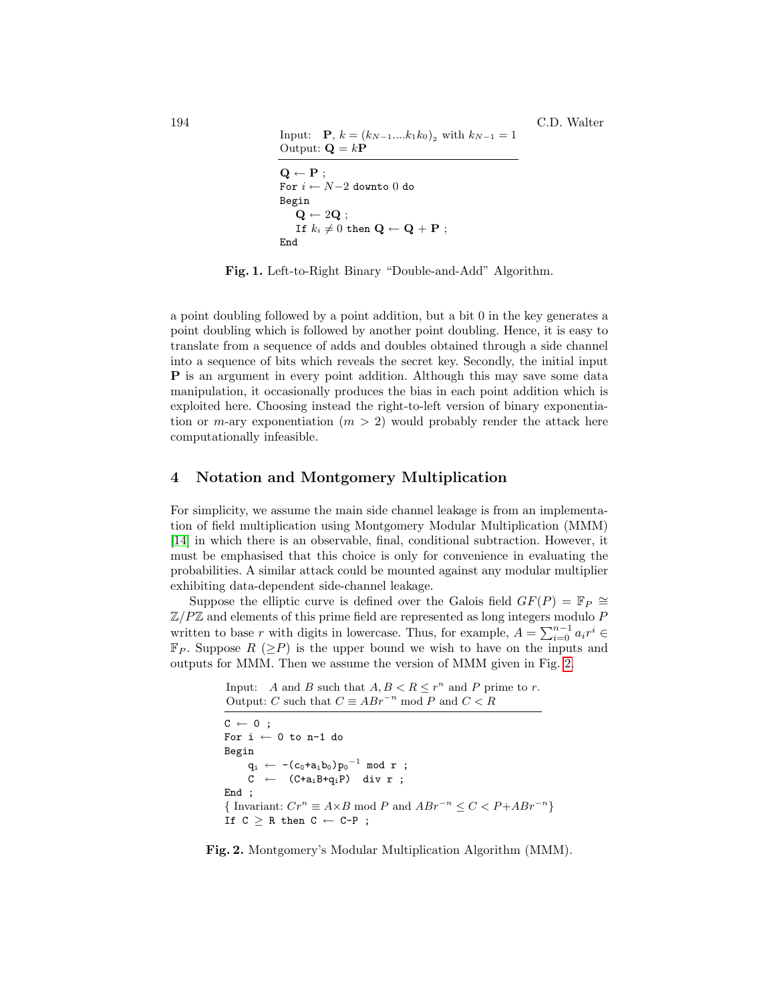```
194 C.D. Walter
               Input: \mathbf{P}, k = (k_{N-1}....k_1k_0)_2 with k_{N-1} = 1Output: \mathbf{Q} = k\mathbf{P}
```

```
\mathbf{Q} \leftarrow \mathbf{P};
For i ← N-2 downto 0 do
Begin
     \mathbf{Q} \leftarrow 2\mathbf{Q} ;
     If k_i \neq 0 then \mathbf{Q} \leftarrow \mathbf{Q} + \mathbf{P};
End
```
<span id="page-3-0"></span>

a point doubling followed by a point addition, but a bit 0 in the key generates a point doubling which is followed by another point doubling. Hence, it is easy to translate from a sequence of adds and doubles obtained through a side channel into a sequence of bits which reveals the secret key. Secondly, the initial input P is an argument in every point addition. Although this may save some data manipulation, it occasionally produces the bias in each point addition which is exploited here. Choosing instead the right-to-left version of binary exponentiation or m-ary exponentiation  $(m > 2)$  would probably render the attack here computationally infeasible.

### 4 Notation and Montgomery Multiplication

For simplicity, we assume the main side channel leakage is from an implementation of field multiplication using Montgomery Modular Multiplication (MMM) [\[14\]](#page-13-10) in which there is an observable, final, conditional subtraction. However, it must be emphasised that this choice is only for convenience in evaluating the probabilities. A similar attack could be mounted against any modular multiplier exhibiting data-dependent side-channel leakage.

Suppose the elliptic curve is defined over the Galois field  $GF(P) = \mathbb{F}_P \cong$  $\mathbb{Z}/P\mathbb{Z}$  and elements of this prime field are represented as long integers modulo P written to base r with digits in lowercase. Thus, for example,  $A = \sum_{i=0}^{n-1} a_i r^i$  $\mathbb{F}_P$ . Suppose  $R$  ( $\geq P$ ) is the upper bound we wish to have on the inputs and outputs for MMM. Then we assume the version of MMM given in Fig. [2.](#page-3-1)

Input: A and B such that  $A, B \lt R \leq r^n$  and P prime to r. Output: C such that  $C \equiv ABr^{-n} \mod P$  and  $C < R$ 

```
C \leftarrow 0 ;
For i \leftarrow 0 to n-1 do
Begin
       \mathrm{q_{i}\ \leftarrow\ - (c_{0} + a_{i} \mathrm{b}_{0})\mathrm{p_{0}}^{-1}} mod r ;
       C \leftarrow (C+a_iB+q_iP) div r;
End \cdot{ Invariant: Cr^n \equiv A \times B \mod P and ABr^{-n} \leq C < P + ABr^{-n}}
If C \geq R then C \leftarrow C-P;
```
<span id="page-3-1"></span>Fig. 2. Montgomery's Modular Multiplication Algorithm (MMM).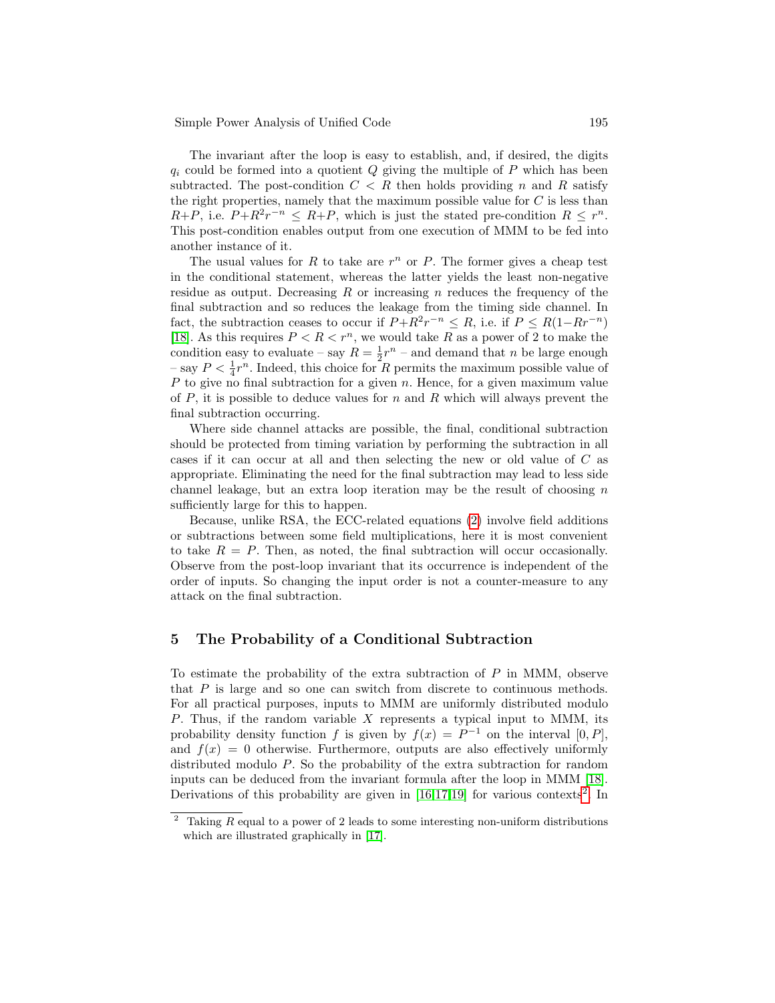Simple Power Analysis of Unified Code 195

The invariant after the loop is easy to establish, and, if desired, the digits  $q_i$  could be formed into a quotient  $Q$  giving the multiple of  $P$  which has been subtracted. The post-condition  $C < R$  then holds providing n and R satisfy the right properties, namely that the maximum possible value for  $C$  is less than  $R+P$ , i.e.  $P+R^2r^{-n} \leq R+P$ , which is just the stated pre-condition  $R \leq r^n$ . This post-condition enables output from one execution of MMM to be fed into another instance of it.

The usual values for R to take are  $r^n$  or P. The former gives a cheap test in the conditional statement, whereas the latter yields the least non-negative residue as output. Decreasing  $R$  or increasing  $n$  reduces the frequency of the final subtraction and so reduces the leakage from the timing side channel. In fact, the subtraction ceases to occur if  $P + R^2 r^{-n} \leq R$ , i.e. if  $P \leq R(1 - R r^{-n})$ [\[18\]](#page-13-11). As this requires  $P < R < r^n$ , we would take R as a power of 2 to make the condition easy to evaluate – say  $R = \frac{1}{2}r^n$  – and demand that n be large enough  $-\text{ say } P < \frac{1}{4}r^n$ . Indeed, this choice for R permits the maximum possible value of  $P$  to give no final subtraction for a given  $n$ . Hence, for a given maximum value of  $P$ , it is possible to deduce values for  $n$  and  $R$  which will always prevent the final subtraction occurring.

Where side channel attacks are possible, the final, conditional subtraction should be protected from timing variation by performing the subtraction in all cases if it can occur at all and then selecting the new or old value of C as appropriate. Eliminating the need for the final subtraction may lead to less side channel leakage, but an extra loop iteration may be the result of choosing  $n$ sufficiently large for this to happen.

Because, unlike RSA, the ECC-related equations [\(2\)](#page-2-1) involve field additions or subtractions between some field multiplications, here it is most convenient to take  $R = P$ . Then, as noted, the final subtraction will occur occasionally. Observe from the post-loop invariant that its occurrence is independent of the order of inputs. So changing the input order is not a counter-measure to any attack on the final subtraction.

### 5 The Probability of a Conditional Subtraction

To estimate the probability of the extra subtraction of  $P$  in MMM, observe that P is large and so one can switch from discrete to continuous methods. For all practical purposes, inputs to MMM are uniformly distributed modulo P. Thus, if the random variable X represents a typical input to MMM, its probability density function f is given by  $f(x) = P^{-1}$  on the interval  $[0, P]$ , and  $f(x) = 0$  otherwise. Furthermore, outputs are also effectively uniformly distributed modulo P. So the probability of the extra subtraction for random inputs can be deduced from the invariant formula after the loop in MMM [\[18\]](#page-13-11). Derivations of this probability are given in  $[16,17,19]$  $[16,17,19]$  $[16,17,19]$  for various contexts<sup>[2](#page-4-0)</sup>. In

<span id="page-4-0"></span><sup>&</sup>lt;sup>2</sup> Taking  $R$  equal to a power of 2 leads to some interesting non-uniform distributions which are illustrated graphically in [\[17\]](#page-13-13).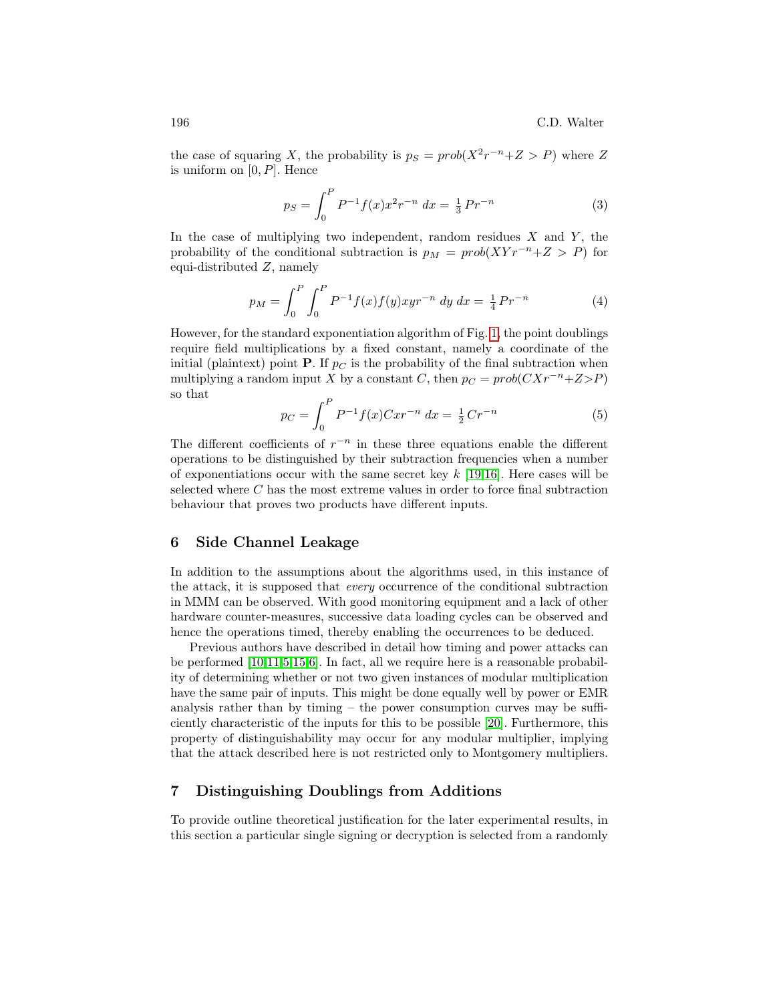the case of squaring X, the probability is  $p_S = prob(X^2r^{-n} + Z > P)$  where Z is uniform on  $[0, P]$ . Hence

<span id="page-5-2"></span>
$$
p_S = \int_0^P P^{-1} f(x) x^2 r^{-n} dx = \frac{1}{3} P r^{-n}
$$
 (3)

In the case of multiplying two independent, random residues  $X$  and  $Y$ , the probability of the conditional subtraction is  $p_M = prob(XYr^{-n}+Z > P)$  for equi-distributed Z, namely

<span id="page-5-1"></span>
$$
p_M = \int_0^P \int_0^P P^{-1} f(x) f(y) x y r^{-n} dy dx = \frac{1}{4} P r^{-n}
$$
 (4)

However, for the standard exponentiation algorithm of Fig. [1,](#page-3-0) the point doublings require field multiplications by a fixed constant, namely a coordinate of the initial (plaintext) point **P**. If  $p<sub>C</sub>$  is the probability of the final subtraction when multiplying a random input X by a constant C, then  $p_C = prob(CXr^{-n}+Z>P)$ so that

<span id="page-5-0"></span>
$$
p_C = \int_0^P P^{-1} f(x) C x r^{-n} dx = \frac{1}{2} C r^{-n}
$$
 (5)

The different coefficients of  $r^{-n}$  in these three equations enable the different operations to be distinguished by their subtraction frequencies when a number of exponentiations occur with the same secret key  $k$  [\[19](#page-13-14)[,16\]](#page-13-12). Here cases will be selected where C has the most extreme values in order to force final subtraction behaviour that proves two products have different inputs.

#### 6 Side Channel Leakage

In addition to the assumptions about the algorithms used, in this instance of the attack, it is supposed that every occurrence of the conditional subtraction in MMM can be observed. With good monitoring equipment and a lack of other hardware counter-measures, successive data loading cycles can be observed and hence the operations timed, thereby enabling the occurrences to be deduced.

Previous authors have described in detail how timing and power attacks can be performed [\[10](#page-13-5)[,11,](#page-13-6)[5](#page-13-7)[,15](#page-13-9)[,6\]](#page-13-8). In fact, all we require here is a reasonable probability of determining whether or not two given instances of modular multiplication have the same pair of inputs. This might be done equally well by power or EMR analysis rather than by timing  $-$  the power consumption curves may be sufficiently characteristic of the inputs for this to be possible [\[20\]](#page-13-15). Furthermore, this property of distinguishability may occur for any modular multiplier, implying that the attack described here is not restricted only to Montgomery multipliers.

## 7 Distinguishing Doublings from Additions

To provide outline theoretical justification for the later experimental results, in this section a particular single signing or decryption is selected from a randomly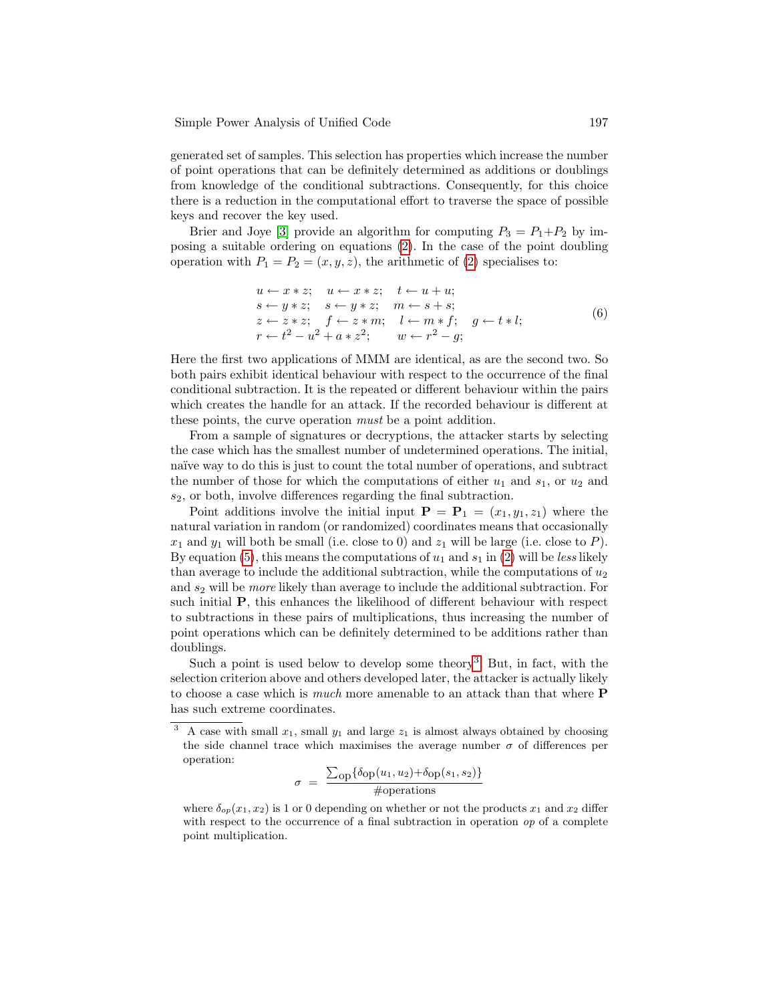generated set of samples. This selection has properties which increase the number of point operations that can be definitely determined as additions or doublings from knowledge of the conditional subtractions. Consequently, for this choice there is a reduction in the computational effort to traverse the space of possible keys and recover the key used.

Brier and Joye [\[3\]](#page-12-1) provide an algorithm for computing  $P_3 = P_1 + P_2$  by imposing a suitable ordering on equations [\(2\)](#page-2-1). In the case of the point doubling operation with  $P_1 = P_2 = (x, y, z)$ , the arithmetic of [\(2\)](#page-2-1) specialises to:

$$
u \leftarrow x * z; \quad u \leftarrow x * z; \quad t \leftarrow u + u; s \leftarrow y * z; \quad s \leftarrow y * z; \quad m \leftarrow s + s; z \leftarrow z * z; \quad f \leftarrow z * m; \quad l \leftarrow m * f; \quad g \leftarrow t * l; r \leftarrow t^2 - u^2 + a * z^2; \quad w \leftarrow r^2 - g;
$$
\n
$$
(6)
$$

Here the first two applications of MMM are identical, as are the second two. So both pairs exhibit identical behaviour with respect to the occurrence of the final conditional subtraction. It is the repeated or different behaviour within the pairs which creates the handle for an attack. If the recorded behaviour is different at these points, the curve operation must be a point addition.

From a sample of signatures or decryptions, the attacker starts by selecting the case which has the smallest number of undetermined operations. The initial, naïve way to do this is just to count the total number of operations, and subtract the number of those for which the computations of either  $u_1$  and  $s_1$ , or  $u_2$  and  $s<sub>2</sub>$ , or both, involve differences regarding the final subtraction.

Point additions involve the initial input  $P = P_1 = (x_1, y_1, z_1)$  where the natural variation in random (or randomized) coordinates means that occasionally  $x_1$  and  $y_1$  will both be small (i.e. close to 0) and  $z_1$  will be large (i.e. close to P). By equation [\(5\)](#page-5-0), this means the computations of  $u_1$  and  $s_1$  in [\(2\)](#page-2-1) will be less likely than average to include the additional subtraction, while the computations of  $u_2$ and  $s_2$  will be *more* likely than average to include the additional subtraction. For such initial P, this enhances the likelihood of different behaviour with respect to subtractions in these pairs of multiplications, thus increasing the number of point operations which can be definitely determined to be additions rather than doublings.

Such a point is used below to develop some theory<sup>[3](#page-6-0)</sup>. But, in fact, with the selection criterion above and others developed later, the attacker is actually likely to choose a case which is *much* more amenable to an attack than that where  $\bf{P}$ has such extreme coordinates.

<span id="page-6-0"></span><sup>3</sup> A case with small  $x_1$ , small  $y_1$  and large  $z_1$  is almost always obtained by choosing the side channel trace which maximises the average number  $\sigma$  of differences per operation:

$$
\sigma = \frac{\sum_{\text{op}} \{\delta_{\text{op}}(u_1, u_2) + \delta_{\text{op}}(s_1, s_2)\}}{\text{\#operations}}
$$

where  $\delta_{op}(x_1, x_2)$  is 1 or 0 depending on whether or not the products  $x_1$  and  $x_2$  differ with respect to the occurrence of a final subtraction in operation  $op$  of a complete point multiplication.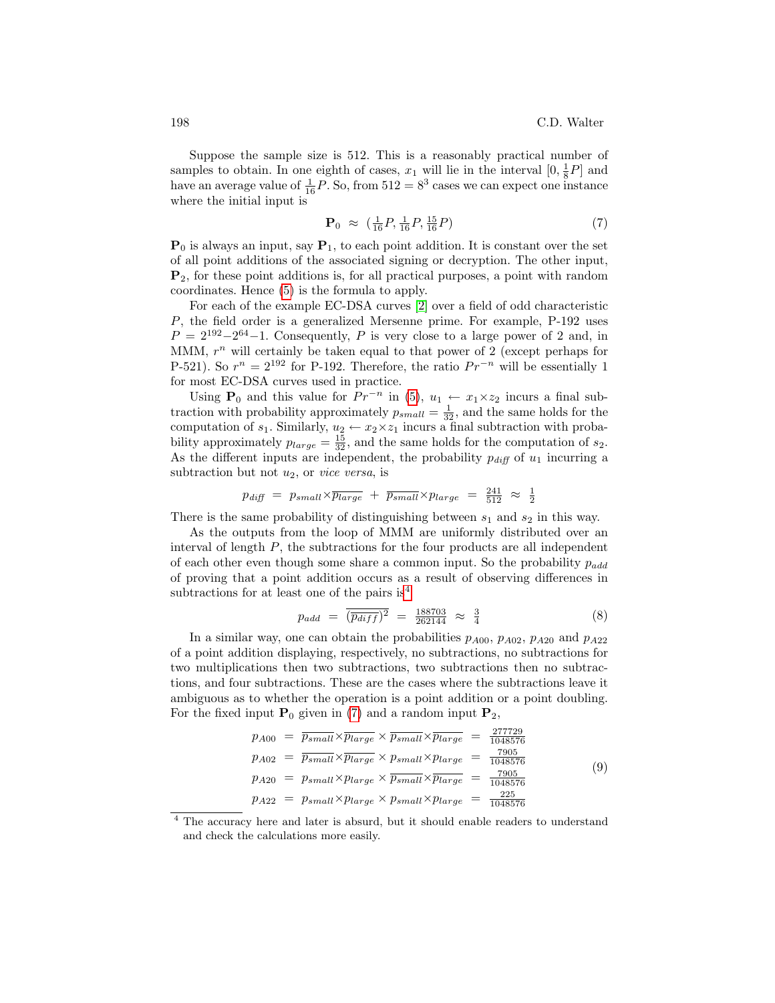Suppose the sample size is 512. This is a reasonably practical number of samples to obtain. In one eighth of cases,  $x_1$  will lie in the interval  $[0, \frac{1}{8}P]$  and have an average value of  $\frac{1}{16}P$ . So, from  $512 = 8^3$  cases we can expect one instance where the initial input is

<span id="page-7-1"></span>
$$
\mathbf{P}_0 \approx \left( \frac{1}{16} P, \frac{1}{16} P, \frac{15}{16} P \right) \tag{7}
$$

 $\mathbf{P}_0$  is always an input, say  $\mathbf{P}_1$ , to each point addition. It is constant over the set of all point additions of the associated signing or decryption. The other input,  $P_2$ , for these point additions is, for all practical purposes, a point with random coordinates. Hence [\(5\)](#page-5-0) is the formula to apply.

For each of the example EC-DSA curves [\[2\]](#page-12-3) over a field of odd characteristic P, the field order is a generalized Mersenne prime. For example, P-192 uses  $P = 2^{192} - 2^{64} - 1$ . Consequently, P is very close to a large power of 2 and, in MMM,  $r^n$  will certainly be taken equal to that power of 2 (except perhaps for P-521). So  $r^n = 2^{192}$  for P-192. Therefore, the ratio  $Pr^{-n}$  will be essentially 1 for most EC-DSA curves used in practice.

Using P<sub>0</sub> and this value for  $Pr^{-n}$  in [\(5\)](#page-5-0),  $u_1 \leftarrow x_1 \times z_2$  incurs a final subtraction with probability approximately  $p_{small} = \frac{1}{32}$ , and the same holds for the computation of  $s_1$ . Similarly,  $u_2 \leftarrow x_2 \times z_1$  incurs a final subtraction with probability approximately  $p_{large} = \frac{15}{32}$ , and the same holds for the computation of  $s_2$ . As the different inputs are independent, the probability  $p_{diff}$  of  $u_1$  incurring a subtraction but not  $u_2$ , or *vice versa*, is

$$
p_{\text{diff}} = p_{\text{small}} \times \overline{p_{\text{large}}} + \overline{p_{\text{small}}} \times p_{\text{large}} = \frac{241}{512} \approx \frac{1}{2}
$$

There is the same probability of distinguishing between  $s_1$  and  $s_2$  in this way.

As the outputs from the loop of MMM are uniformly distributed over an interval of length  $P$ , the subtractions for the four products are all independent of each other even though some share a common input. So the probability  $p_{add}$ of proving that a point addition occurs as a result of observing differences in subtractions for at least one of the pairs is<sup>[4](#page-7-0)</sup>

<span id="page-7-2"></span>
$$
p_{add} = \overline{(\overline{p_{diff}})^2} = \frac{188703}{262144} \approx \frac{3}{4}
$$
 (8)

In a similar way, one can obtain the probabilities  $p_{A00}$ ,  $p_{A02}$ ,  $p_{A20}$  and  $p_{A22}$ of a point addition displaying, respectively, no subtractions, no subtractions for two multiplications then two subtractions, two subtractions then no subtractions, and four subtractions. These are the cases where the subtractions leave it ambiguous as to whether the operation is a point addition or a point doubling. For the fixed input  $P_0$  given in [\(7\)](#page-7-1) and a random input  $P_2$ ,

<span id="page-7-3"></span>
$$
p_{A00} = \overline{p_{small}} \times \overline{p_{large}} \times \overline{p_{small}} \times \overline{p_{large}} = \frac{277729}{1048576}
$$
  
\n
$$
p_{A02} = \overline{p_{small}} \times \overline{p_{large}} \times p_{small} \times p_{large} = \frac{7905}{1048576}
$$
  
\n
$$
p_{A20} = p_{small} \times p_{large} \times \overline{p_{small}} \times \overline{p_{large}} = \frac{7905}{1048576}
$$
  
\n
$$
p_{A22} = p_{small} \times p_{large} \times p_{small} \times p_{large} = \frac{225}{1048576}
$$
  
\n(9)

<span id="page-7-0"></span><sup>4</sup> The accuracy here and later is absurd, but it should enable readers to understand and check the calculations more easily.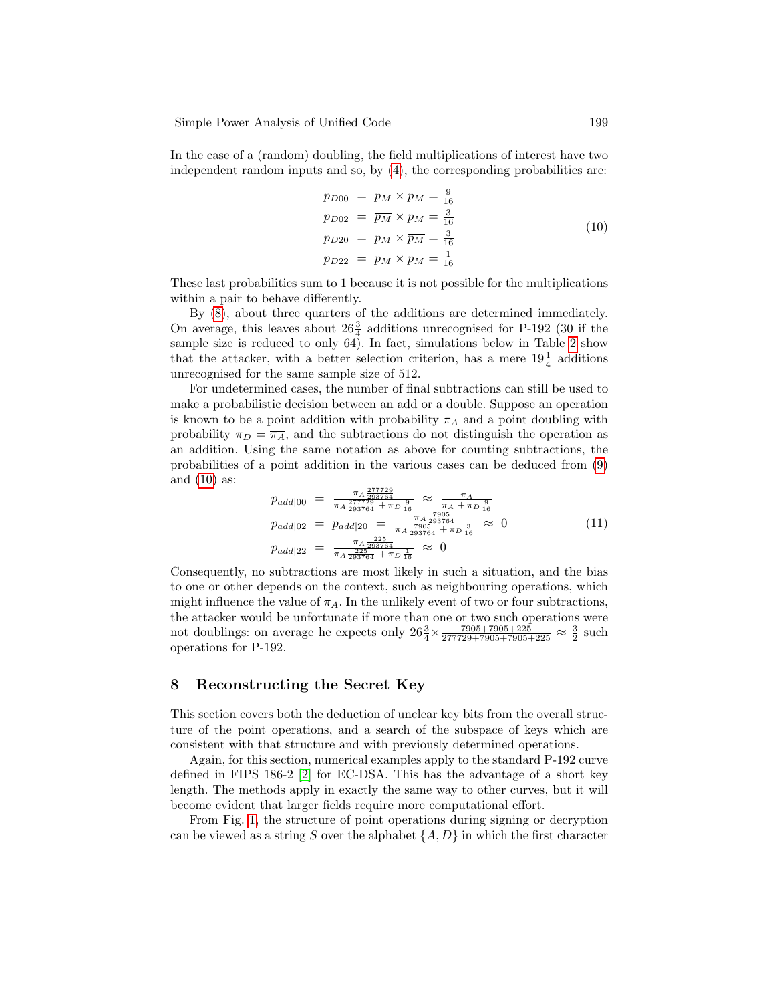In the case of a (random) doubling, the field multiplications of interest have two independent random inputs and so, by [\(4\)](#page-5-1), the corresponding probabilities are:

<span id="page-8-0"></span>
$$
p_{D00} = \overline{p_M} \times \overline{p_M} = \frac{9}{16}
$$
  
\n
$$
p_{D02} = \overline{p_M} \times p_M = \frac{3}{16}
$$
  
\n
$$
p_{D20} = p_M \times \overline{p_M} = \frac{3}{16}
$$
  
\n
$$
p_{D22} = p_M \times p_M = \frac{1}{16}
$$
\n(10)

These last probabilities sum to 1 because it is not possible for the multiplications within a pair to behave differently.

By [\(8\)](#page-7-2), about three quarters of the additions are determined immediately. On average, this leaves about  $26\frac{3}{4}$  additions unrecognised for P-192 (30 if the sample size is reduced to only 64). In fact, simulations below in Table [2](#page-11-0) show that the attacker, with a better selection criterion, has a mere  $19\frac{1}{4}$  additions unrecognised for the same sample size of 512.

For undetermined cases, the number of final subtractions can still be used to make a probabilistic decision between an add or a double. Suppose an operation is known to be a point addition with probability  $\pi_A$  and a point doubling with probability  $\pi_D = \overline{\pi_A}$ , and the subtractions do not distinguish the operation as an addition. Using the same notation as above for counting subtractions, the probabilities of a point addition in the various cases can be deduced from [\(9\)](#page-7-3) and [\(10\)](#page-8-0) as:

<span id="page-8-1"></span>
$$
p_{add|00} = \frac{\pi_A \frac{277729}{293764}}{\pi_A \frac{277729}{293764} + \pi_D \frac{9}{16}} \approx \frac{\pi_A}{\pi_A + \pi_D \frac{9}{16}}
$$
  
\n
$$
p_{add|02} = p_{add|20} = \frac{\pi_A \frac{7905}{293764}}{\pi_A \frac{293764}{293764} + \pi_D \frac{3}{16}} \approx 0
$$
  
\n
$$
p_{add|22} = \frac{\pi_A \frac{225}{293764}}{\pi_A \frac{225}{293764} + \pi_D \frac{1}{16}} \approx 0
$$
\n(11)

Consequently, no subtractions are most likely in such a situation, and the bias to one or other depends on the context, such as neighbouring operations, which might influence the value of  $\pi_A$ . In the unlikely event of two or four subtractions, the attacker would be unfortunate if more than one or two such operations were not doublings: on average he expects only  $26\frac{3}{4} \times \frac{7905+7905+225}{277729+7905+7905+225} \approx \frac{3}{2}$  such operations for P-192.

### 8 Reconstructing the Secret Key

This section covers both the deduction of unclear key bits from the overall structure of the point operations, and a search of the subspace of keys which are consistent with that structure and with previously determined operations.

Again, for this section, numerical examples apply to the standard P-192 curve defined in FIPS 186-2 [\[2\]](#page-12-3) for EC-DSA. This has the advantage of a short key length. The methods apply in exactly the same way to other curves, but it will become evident that larger fields require more computational effort.

From Fig. [1,](#page-3-0) the structure of point operations during signing or decryption can be viewed as a string S over the alphabet  $\{A, D\}$  in which the first character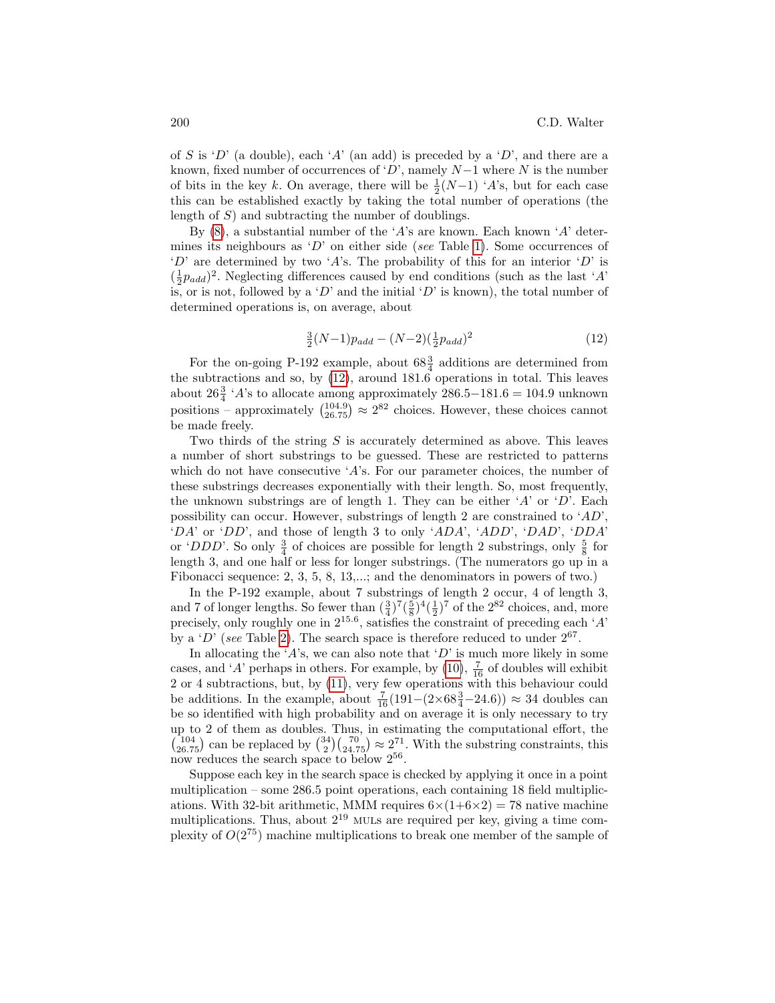of S is 'D' (a double), each 'A' (an add) is preceded by a 'D', and there are a known, fixed number of occurrences of 'D', namely  $N-1$  where N is the number of bits in the key k. On average, there will be  $\frac{1}{2}(N-1)$  'A's, but for each case this can be established exactly by taking the total number of operations (the length of  $S$ ) and subtracting the number of doublings.

By  $(8)$ , a substantial number of the 'A's are known. Each known 'A' deter-mines its neighbours as 'D' on either side (see Table [1\)](#page-10-0). Some occurrences of  $D'$  are determined by two 'A's. The probability of this for an interior 'D' is  $(\frac{1}{2}p_{add})^2$ . Neglecting differences caused by end conditions (such as the last 'A' is, or is not, followed by a 'D' and the initial 'D' is known), the total number of determined operations is, on average, about

<span id="page-9-0"></span>
$$
\frac{3}{2}(N-1)p_{add} - (N-2)(\frac{1}{2}p_{add})^2\tag{12}
$$

For the on-going P-192 example, about  $68\frac{3}{4}$  additions are determined from the subtractions and so, by [\(12\)](#page-9-0), around 181.6 operations in total. This leaves about  $26\frac{3}{4}$  'A's to allocate among approximately  $286.5-181.6 = 104.9$  unknown positions – approximately  $\binom{104.9}{26.75} \approx 2^{82}$  choices. However, these choices cannot be made freely.

Two thirds of the string  $S$  is accurately determined as above. This leaves a number of short substrings to be guessed. These are restricted to patterns which do not have consecutive  $A$ 's. For our parameter choices, the number of these substrings decreases exponentially with their length. So, most frequently, the unknown substrings are of length 1. They can be either 'A' or 'D'. Each possibility can occur. However, substrings of length 2 are constrained to 'AD', 'DA' or 'DD', and those of length 3 to only 'ADA', 'ADD', 'DAD', 'DDA' or 'DDD'. So only  $\frac{3}{4}$  of choices are possible for length 2 substrings, only  $\frac{5}{8}$  for length 3, and one half or less for longer substrings. (The numerators go up in a Fibonacci sequence: 2, 3, 5, 8, 13,...; and the denominators in powers of two.)

In the P-192 example, about 7 substrings of length 2 occur, 4 of length 3, and 7 of longer lengths. So fewer than  $(\frac{3}{4})^7(\frac{5}{8})^4(\frac{1}{2})^7$  of the  $2^{82}$  choices, and, more precisely, only roughly one in  $2^{15.6}$ , satisfies the constraint of preceding each 'A' by a 'D' (see Table [2\)](#page-11-0). The search space is therefore reduced to under  $2^{67}$ .

In allocating the 'A's, we can also note that 'D' is much more likely in some cases, and 'A' perhaps in others. For example, by [\(10\)](#page-8-0),  $\frac{7}{16}$  of doubles will exhibit 2 or 4 subtractions, but, by [\(11\)](#page-8-1), very few operations with this behaviour could be additions. In the example, about  $\frac{7}{16}(191-(2\times68\frac{3}{4}-24.6)) \approx 34$  doubles can be so identified with high probability and on average it is only necessary to try up to 2 of them as doubles. Thus, in estimating the computational effort, the  $\binom{104}{26.75}$  can be replaced by  $\binom{34}{2}\binom{70}{24.75} \approx 2^{71}$ . With the substring constraints, this now reduces the search space to below  $2^{56}$ .

Suppose each key in the search space is checked by applying it once in a point multiplication – some  $286.5$  point operations, each containing 18 field multiplications. With 32-bit arithmetic, MMM requires  $6 \times (1+6 \times 2) = 78$  native machine multiplications. Thus, about  $2^{19}$  MULs are required per key, giving a time complexity of  $O(2^{75})$  machine multiplications to break one member of the sample of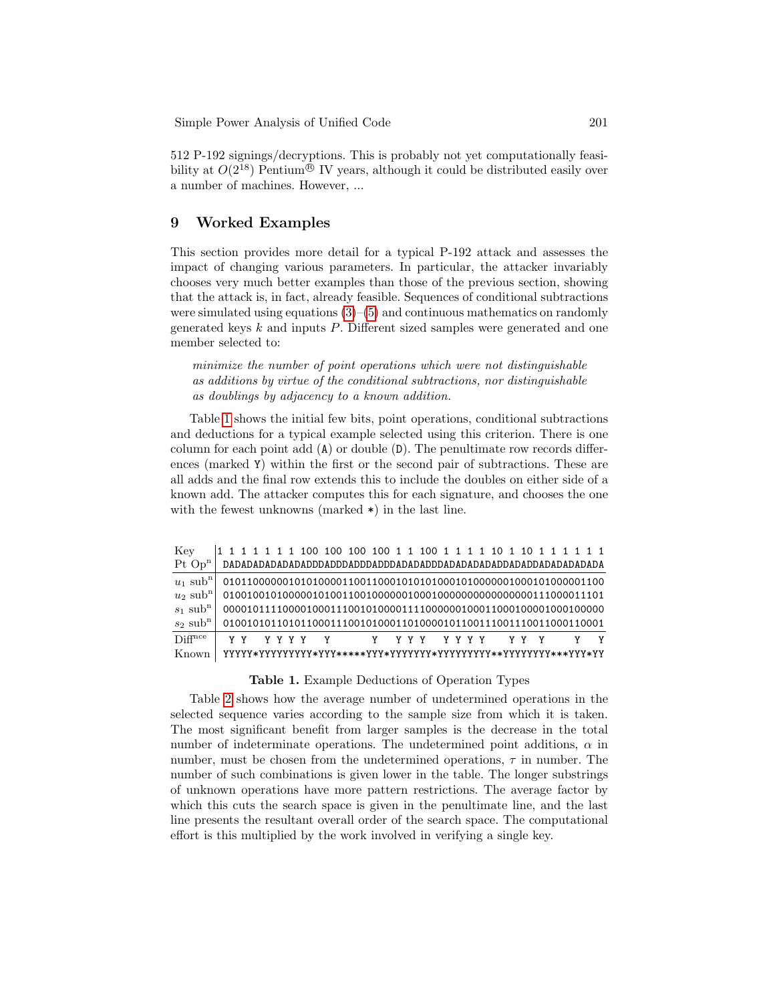Simple Power Analysis of Unified Code 201

512 P-192 signings/decryptions. This is probably not yet computationally feasibility at  $O(2^{18})$  Pentium<sup>®</sup> IV years, although it could be distributed easily over a number of machines. However, ...

## 9 Worked Examples

This section provides more detail for a typical P-192 attack and assesses the impact of changing various parameters. In particular, the attacker invariably chooses very much better examples than those of the previous section, showing that the attack is, in fact, already feasible. Sequences of conditional subtractions were simulated using equations  $(3)$ – $(5)$  and continuous mathematics on randomly generated keys  $k$  and inputs  $P$ . Different sized samples were generated and one member selected to:

minimize the number of point operations which were not distinguishable as additions by virtue of the conditional subtractions, nor distinguishable as doublings by adjacency to a known addition.

Table [1](#page-10-0) shows the initial few bits, point operations, conditional subtractions and deductions for a typical example selected using this criterion. There is one column for each point add (A) or double (D). The penultimate row records differences (marked Y) within the first or the second pair of subtractions. These are all adds and the final row extends this to include the doubles on either side of a known add. The attacker computes this for each signature, and chooses the one with the fewest unknowns (marked  $\ast$ ) in the last line.

| Key                    |     |  |         |         |  |  |      |  |  |       |  |  |   |
|------------------------|-----|--|---------|---------|--|--|------|--|--|-------|--|--|---|
| Pt $Opn$               |     |  |         |         |  |  |      |  |  |       |  |  |   |
| $u_1$ sub <sup>n</sup> |     |  |         |         |  |  |      |  |  |       |  |  |   |
| $u_2$ sub <sup>n</sup> |     |  |         |         |  |  |      |  |  |       |  |  |   |
| $s_1$ sub <sup>n</sup> |     |  |         |         |  |  |      |  |  |       |  |  |   |
| $s_2$ sub <sup>n</sup> |     |  |         |         |  |  |      |  |  |       |  |  |   |
| Diff <sup>nce</sup>    | Y Y |  | Y Y Y Y | Y Y YYY |  |  | YYYY |  |  | Y Y Y |  |  | Y |
| Known                  |     |  |         |         |  |  |      |  |  |       |  |  |   |

#### <span id="page-10-0"></span>Table 1. Example Deductions of Operation Types

Table [2](#page-11-0) shows how the average number of undetermined operations in the selected sequence varies according to the sample size from which it is taken. The most significant benefit from larger samples is the decrease in the total number of indeterminate operations. The undetermined point additions,  $\alpha$  in number, must be chosen from the undetermined operations,  $\tau$  in number. The number of such combinations is given lower in the table. The longer substrings of unknown operations have more pattern restrictions. The average factor by which this cuts the search space is given in the penultimate line, and the last line presents the resultant overall order of the search space. The computational effort is this multiplied by the work involved in verifying a single key.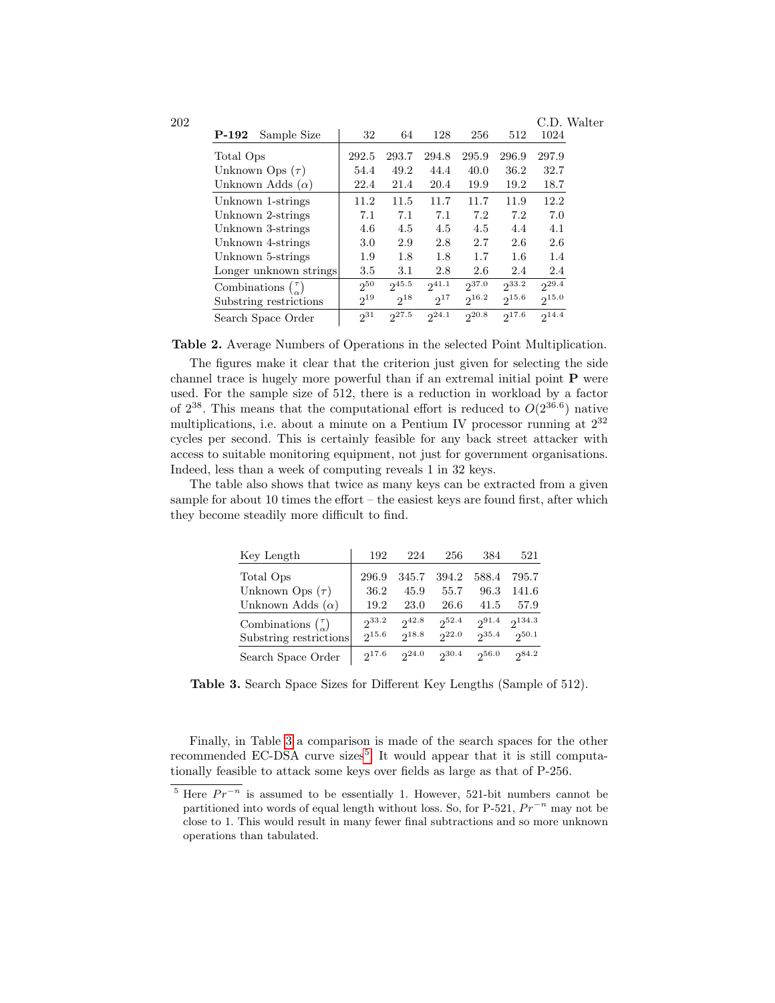#### 202 C.D. Walter

| $P-192$<br>Sample Size              | 32       | 64         | 128        | 256        | 512        | 1024       |
|-------------------------------------|----------|------------|------------|------------|------------|------------|
| Total Ops                           | 292.5    | 293.7      | 294.8      | 295.9      | 296.9      | 297.9      |
| Unknown Ops $(\tau)$                | 54.4     | 49.2       | 44.4       | 40.0       | 36.2       | 32.7       |
| Unknown Adds $(\alpha)$             | 22.4     | 21.4       | 20.4       | 19.9       | 19.2       | 18.7       |
| Unknown 1-strings                   | 11.2     | 11.5       | 11.7       | 11.7       | 11.9       | 12.2       |
| Unknown 2-strings                   | 7.1      | 7.1        | 7.1        | 7.2        | 7.2        | 7.0        |
| Unknown 3-strings                   | 4.6      | 4.5        | 4.5        | 4.5        | 4.4        | 4.1        |
| Unknown 4-strings                   | 3.0      | 2.9        | 2.8        | 2.7        | 2.6        | 2.6        |
| Unknown 5-strings                   | 1.9      | 1.8        | 1.8        | 1.7        | 1.6        | 1.4        |
| Longer unknown strings              | 3.5      | 3.1        | 2.8        | 2.6        | 2.4        | 2.4        |
| Combinations $\binom{\tau}{\alpha}$ | $2^{50}$ | 245.5      | $2^{41.1}$ | $2^{37.0}$ | $2^{33.2}$ | $2^{29.4}$ |
| Substring restrictions              | $2^{19}$ | $2^{18}$   | $2^{17}$   | $2^{16.2}$ | $2^{15.6}$ | $2^{15.0}$ |
| Search Space Order                  | $2^{31}$ | $2^{27.5}$ | $2^{24.1}$ | 20.8       | $2^{17.6}$ | $2^{14.4}$ |

<span id="page-11-0"></span>Table 2. Average Numbers of Operations in the selected Point Multiplication.

The figures make it clear that the criterion just given for selecting the side channel trace is hugely more powerful than if an extremal initial point P were used. For the sample size of 512, there is a reduction in workload by a factor of  $2^{38}$ . This means that the computational effort is reduced to  $O(2^{36.6})$  native multiplications, i.e. about a minute on a Pentium IV processor running at  $2^{32}$ cycles per second. This is certainly feasible for any back street attacker with access to suitable monitoring equipment, not just for government organisations. Indeed, less than a week of computing reveals 1 in 32 keys.

The table also shows that twice as many keys can be extracted from a given sample for about 10 times the effort – the easiest keys are found first, after which they become steadily more difficult to find.

| Key Length                          | 192        | 224        | 256        | 384        | 521        |
|-------------------------------------|------------|------------|------------|------------|------------|
| Total Ops                           | 296.9      | 345.7      | 394.2      | 588.4      | 795.7      |
| Unknown Ops $(\tau)$                | 36.2       | 45.9       | 55.7       | 96.3       | 141.6      |
| Unknown Adds $(\alpha)$             | 19.2       | 23.0       | 26.6       | 41.5       | 57.9       |
| Combinations $\binom{\tau}{\alpha}$ | $2^{33.2}$ | $2^{42.8}$ | $2^{52.4}$ | 291.4      | 2134.3     |
| Substring restrictions              | 215.6      | $2^{18.8}$ | 22.0       | 235.4      | $2^{50.1}$ |
| Search Space Order                  | $2^{17.6}$ | 24.0       | $2^{30.4}$ | $2^{56.0}$ | $2^{84.2}$ |

<span id="page-11-1"></span>Table 3. Search Space Sizes for Different Key Lengths (Sample of 512).

Finally, in Table [3](#page-11-1) a comparison is made of the search spaces for the other recommended EC-DSA curve sizes<sup>[5](#page-11-2)</sup>. It would appear that it is still computationally feasible to attack some keys over fields as large as that of P-256.

<span id="page-11-2"></span> $5$  Here  $Pr^{-n}$  is assumed to be essentially 1. However, 521-bit numbers cannot be partitioned into words of equal length without loss. So, for P-521,  $Pr^{-n}$  may not be close to 1. This would result in many fewer final subtractions and so more unknown operations than tabulated.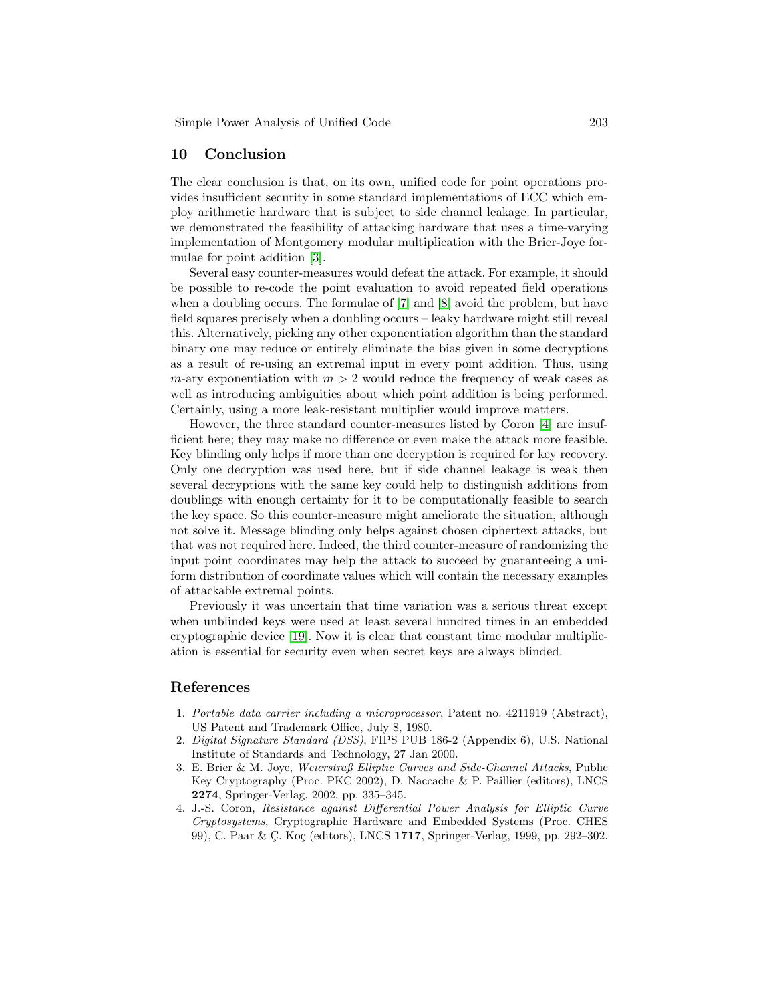### 10 Conclusion

The clear conclusion is that, on its own, unified code for point operations provides insufficient security in some standard implementations of ECC which employ arithmetic hardware that is subject to side channel leakage. In particular, we demonstrated the feasibility of attacking hardware that uses a time-varying implementation of Montgomery modular multiplication with the Brier-Joye formulae for point addition [\[3\]](#page-12-1).

Several easy counter-measures would defeat the attack. For example, it should be possible to re-code the point evaluation to avoid repeated field operations when a doubling occurs. The formulae of [\[7\]](#page-13-2) and [\[8\]](#page-13-3) avoid the problem, but have field squares precisely when a doubling occurs – leaky hardware might still reveal this. Alternatively, picking any other exponentiation algorithm than the standard binary one may reduce or entirely eliminate the bias given in some decryptions as a result of re-using an extremal input in every point addition. Thus, using m-ary exponentiation with  $m > 2$  would reduce the frequency of weak cases as well as introducing ambiguities about which point addition is being performed. Certainly, using a more leak-resistant multiplier would improve matters.

However, the three standard counter-measures listed by Coron [\[4\]](#page-12-2) are insufficient here; they may make no difference or even make the attack more feasible. Key blinding only helps if more than one decryption is required for key recovery. Only one decryption was used here, but if side channel leakage is weak then several decryptions with the same key could help to distinguish additions from doublings with enough certainty for it to be computationally feasible to search the key space. So this counter-measure might ameliorate the situation, although not solve it. Message blinding only helps against chosen ciphertext attacks, but that was not required here. Indeed, the third counter-measure of randomizing the input point coordinates may help the attack to succeed by guaranteeing a uniform distribution of coordinate values which will contain the necessary examples of attackable extremal points.

Previously it was uncertain that time variation was a serious threat except when unblinded keys were used at least several hundred times in an embedded cryptographic device [\[19\]](#page-13-14). Now it is clear that constant time modular multiplication is essential for security even when secret keys are always blinded.

### References

- <span id="page-12-0"></span>1. Portable data carrier including a microprocessor, Patent no. 4211919 (Abstract), US Patent and Trademark Office, July 8, 1980.
- <span id="page-12-3"></span>2. Digital Signature Standard (DSS), FIPS PUB 186-2 (Appendix 6), U.S. National Institute of Standards and Technology, 27 Jan 2000.
- <span id="page-12-1"></span>3. E. Brier & M. Joye, Weierstraß Elliptic Curves and Side-Channel Attacks, Public Key Cryptography (Proc. PKC 2002), D. Naccache & P. Paillier (editors), LNCS 2274, Springer-Verlag, 2002, pp. 335–345.
- <span id="page-12-2"></span>4. J.-S. Coron, Resistance against Differential Power Analysis for Elliptic Curve Cryptosystems, Cryptographic Hardware and Embedded Systems (Proc. CHES 99), C. Paar & Ç. Koç (editors), LNCS 1717, Springer-Verlag, 1999, pp. 292–302.